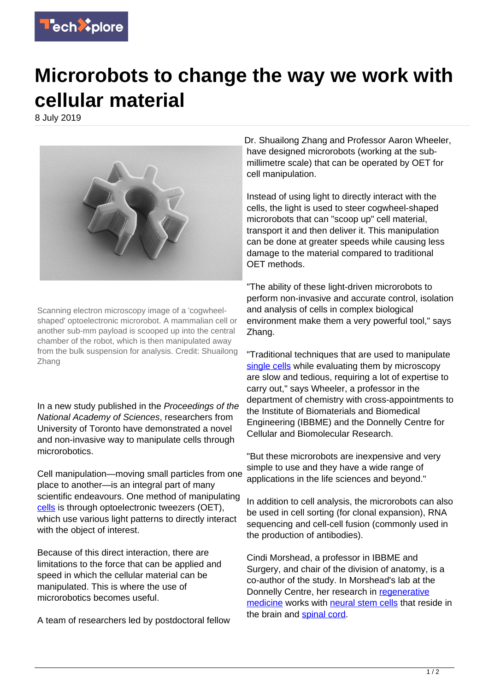

## **Microrobots to change the way we work with cellular material**

8 July 2019



Scanning electron microscopy image of a 'cogwheelshaped' optoelectronic microrobot. A mammalian cell or another sub-mm payload is scooped up into the central chamber of the robot, which is then manipulated away from the bulk suspension for analysis. Credit: Shuailong Zhang

In a new study published in the Proceedings of the National Academy of Sciences, researchers from University of Toronto have demonstrated a novel and non-invasive way to manipulate cells through microrobotics.

Cell manipulation—moving small particles from one place to another—is an integral part of many scientific endeavours. One method of manipulating [cells](https://techxplore.com/tags/cells/) is through optoelectronic tweezers (OET), which use various light patterns to directly interact with the object of interest.

Because of this direct interaction, there are limitations to the force that can be applied and speed in which the cellular material can be manipulated. This is where the use of microrobotics becomes useful.

A team of researchers led by postdoctoral fellow

Dr. Shuailong Zhang and Professor Aaron Wheeler, have designed microrobots (working at the submillimetre scale) that can be operated by OET for cell manipulation.

Instead of using light to directly interact with the cells, the light is used to steer cogwheel-shaped microrobots that can "scoop up" cell material, transport it and then deliver it. This manipulation can be done at greater speeds while causing less damage to the material compared to traditional OET methods.

"The ability of these light-driven microrobots to perform non-invasive and accurate control, isolation and analysis of cells in complex biological environment make them a very powerful tool," says Zhang.

"Traditional techniques that are used to manipulate [single cells](https://techxplore.com/tags/single+cells/) while evaluating them by microscopy are slow and tedious, requiring a lot of expertise to carry out," says Wheeler, a professor in the department of chemistry with cross-appointments to the Institute of Biomaterials and Biomedical Engineering (IBBME) and the Donnelly Centre for Cellular and Biomolecular Research.

"But these microrobots are inexpensive and very simple to use and they have a wide range of applications in the life sciences and beyond."

In addition to cell analysis, the microrobots can also be used in cell sorting (for clonal expansion), RNA sequencing and cell-cell fusion (commonly used in the production of antibodies).

Cindi Morshead, a professor in IBBME and Surgery, and chair of the division of anatomy, is a co-author of the study. In Morshead's lab at the Donnelly Centre, her research in [regenerative](https://techxplore.com/tags/regenerative+medicine/) [medicine](https://techxplore.com/tags/regenerative+medicine/) works with [neural stem cells](https://techxplore.com/tags/neural+stem+cells/) that reside in the brain and [spinal cord.](https://techxplore.com/tags/spinal+cord/)